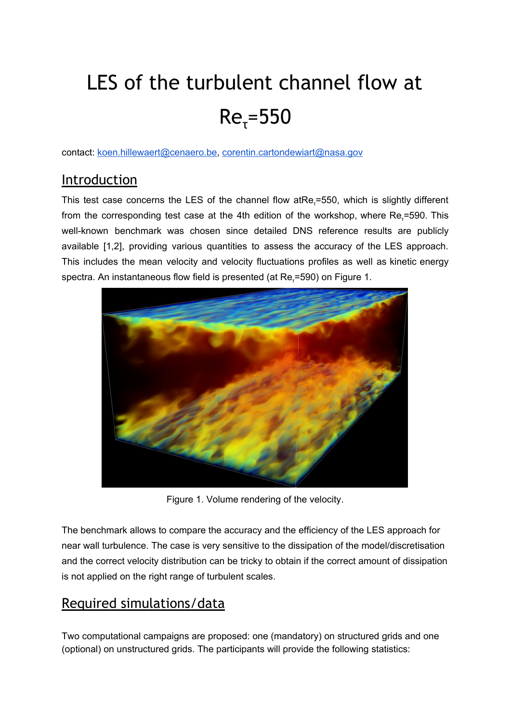# LES of the turbulent channel flow at  $Re_{\tau} = 550$

contact: koen.hillewaert@cenaero.be, corentin.cartondewiart@nasa.gov

## **Introduction**

This test case concerns the LES of the channel flow atRe<sub>τ</sub>=550, which is slightly different from the corresponding test case at the 4th edition of the workshop, where Re<sub>r</sub>=590. This well-known benchmark was chosen since detailed DNS reference results are publicly available [1,2], providing various quantities to assess the accuracy of the LES approach. This includes the mean velocity and velocity fluctuations profiles as well as kinetic energy spectra. An instantaneous flow field is presented (at Re<sub>r</sub>=590) on Figure 1.



Figure 1. Volume rendering of the velocity.

The benchmark allows to compare the accuracy and the efficiency of the LES approach for near wall turbulence. The case is very sensitive to the dissipation of the model/discretisation and the correct velocity distribution can be tricky to obtain if the correct amount of dissipation is not applied on the right range of turbulent scales.

## Required simulations/data

Two computational campaigns are proposed: one (mandatory) on structured grids and one (optional) on unstructured grids. The participants will provide the following statistics: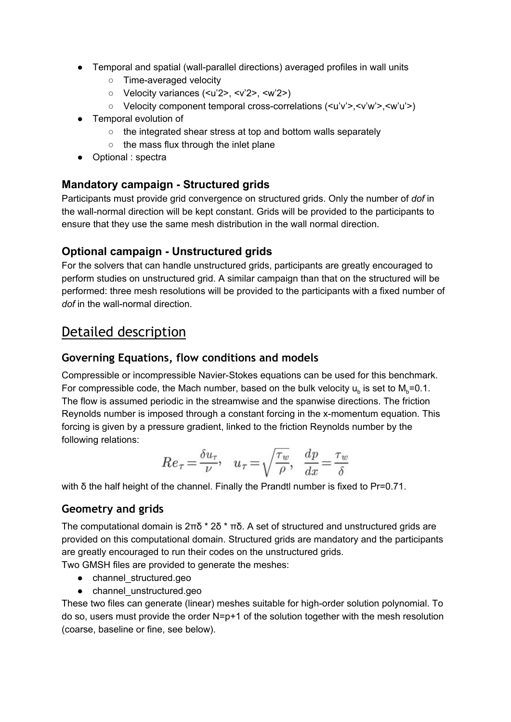- Temporal and spatial (wall-parallel directions) averaged profiles in wall units
	- Time-averaged velocity
	- Velocity variances (<u'2>, <v'2>, <w'2>)
	- Velocity component temporal cross-correlations (<u'v'>,<v'w'>,<w'u'>)
- Temporal evolution of
	- the integrated shear stress at top and bottom walls separately
	- the mass flux through the inlet plane
- Optional : spectra

#### **Mandatory campaign - Structured grids**

Participants must provide grid convergence on structured grids. Only the number of *dof* in the wall-normal direction will be kept constant. Grids will be provided to the participants to ensure that they use the same mesh distribution in the wall normal direction.

#### **Optional campaign - Unstructured grids**

For the solvers that can handle unstructured grids, participants are greatly encouraged to perform studies on unstructured grid. A similar campaign than that on the structured will be performed: three mesh resolutions will be provided to the participants with a fixed number of *dof* in the wall-normal direction.

### Detailed description

#### **Governing Equations, flow conditions and models**

Compressible or incompressible Navier-Stokes equations can be used for this benchmark. For compressible code, the Mach number, based on the bulk velocity  $u_b$  is set to  $M_b$ =0.1. The flow is assumed periodic in the streamwise and the spanwise directions. The friction Reynolds number is imposed through a constant forcing in the x-momentum equation. This forcing is given by a pressure gradient, linked to the friction Reynolds number by the following relations:

$$
Re_{\tau} = \frac{\delta u_{\tau}}{\nu}, \quad u_{\tau} = \sqrt{\frac{\tau_w}{\rho}}, \quad \frac{dp}{dx} = \frac{\tau_w}{\delta}
$$

with δ the half height of the channel. Finally the Prandtl number is fixed to Pr=0.71.

#### **Geometry and grids**

The computational domain is 2πδ \* 2δ \* πδ. A set of structured and unstructured grids are provided on this computational domain. Structured grids are mandatory and the participants are greatly encouraged to run their codes on the unstructured grids.

Two GMSH files are provided to generate the meshes:

- channel\_structured.geo
- channel\_unstructured.geo

These two files can generate (linear) meshes suitable for high-order solution polynomial. To do so, users must provide the order N=p+1 of the solution together with the mesh resolution (coarse, baseline or fine, see below).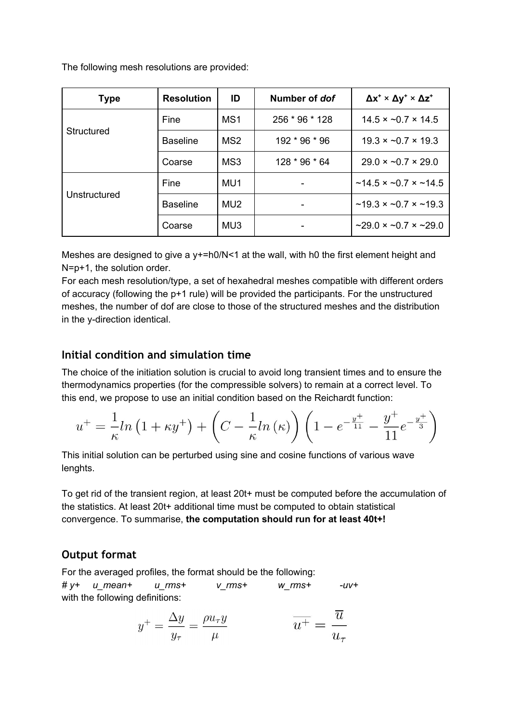The following mesh resolutions are provided:

| <b>Type</b>  | <b>Resolution</b> | ID              | Number of dof  | $\Delta x^+ \times \Delta y^+ \times \Delta z^+$ |
|--------------|-------------------|-----------------|----------------|--------------------------------------------------|
| Structured   | Fine              | MS <sub>1</sub> | 256 * 96 * 128 | $14.5 \times -0.7 \times 14.5$                   |
|              | <b>Baseline</b>   | MS <sub>2</sub> | 192 * 96 * 96  | $19.3 \times -0.7 \times 19.3$                   |
|              | Coarse            | MS3             | 128 * 96 * 64  | $29.0 \times -0.7 \times 29.0$                   |
| Unstructured | Fine              | MU1             |                | $\sim$ 14.5 × $\sim$ 0.7 × $\sim$ 14.5           |
|              | <b>Baseline</b>   | MU <sub>2</sub> |                | $\sim$ 19.3 × $\sim$ 0.7 × $\sim$ 19.3           |
|              | Coarse            | MU <sub>3</sub> |                | $\sim$ 29.0 × $\sim$ 0.7 × $\sim$ 29.0           |

Meshes are designed to give a y+=h0/N<1 at the wall, with h0 the first element height and N=p+1, the solution order.

For each mesh resolution/type, a set of hexahedral meshes compatible with different orders of accuracy (following the p+1 rule) will be provided the participants. For the unstructured meshes, the number of dof are close to those of the structured meshes and the distribution in the y-direction identical.

#### **Initial condition and simulation time**

The choice of the initiation solution is crucial to avoid long transient times and to ensure the thermodynamics properties (for the compressible solvers) to remain at a correct level. To this end, we propose to use an initial condition based on the Reichardt function:

$$
u^{+} = \frac{1}{\kappa} \ln(1 + \kappa y^{+}) + \left(C - \frac{1}{\kappa} \ln(\kappa)\right) \left(1 - e^{-\frac{y^{+}}{11}} - \frac{y^{+}}{11}e^{-\frac{y^{+}}{3}}\right)
$$

This initial solution can be perturbed using sine and cosine functions of various wave lenghts.

To get rid of the transient region, at least 20t+ must be computed before the accumulation of the statistics. At least 20t+ additional time must be computed to obtain statistical convergence. To summarise, **the computation should run for at least 40t+!**

#### **Output format**

For the averaged profiles, the format should be the following: *# y+ u\_mean+ u\_rms+ v\_rms+ w\_rms+ -uv+* with the following definitions:

$$
y^{+} = \frac{\Delta y}{y_{\tau}} = \frac{\rho u_{\tau} y}{\mu} \qquad \qquad \overline{u^{+}} = \frac{\overline{u}}{u_{\tau}}
$$